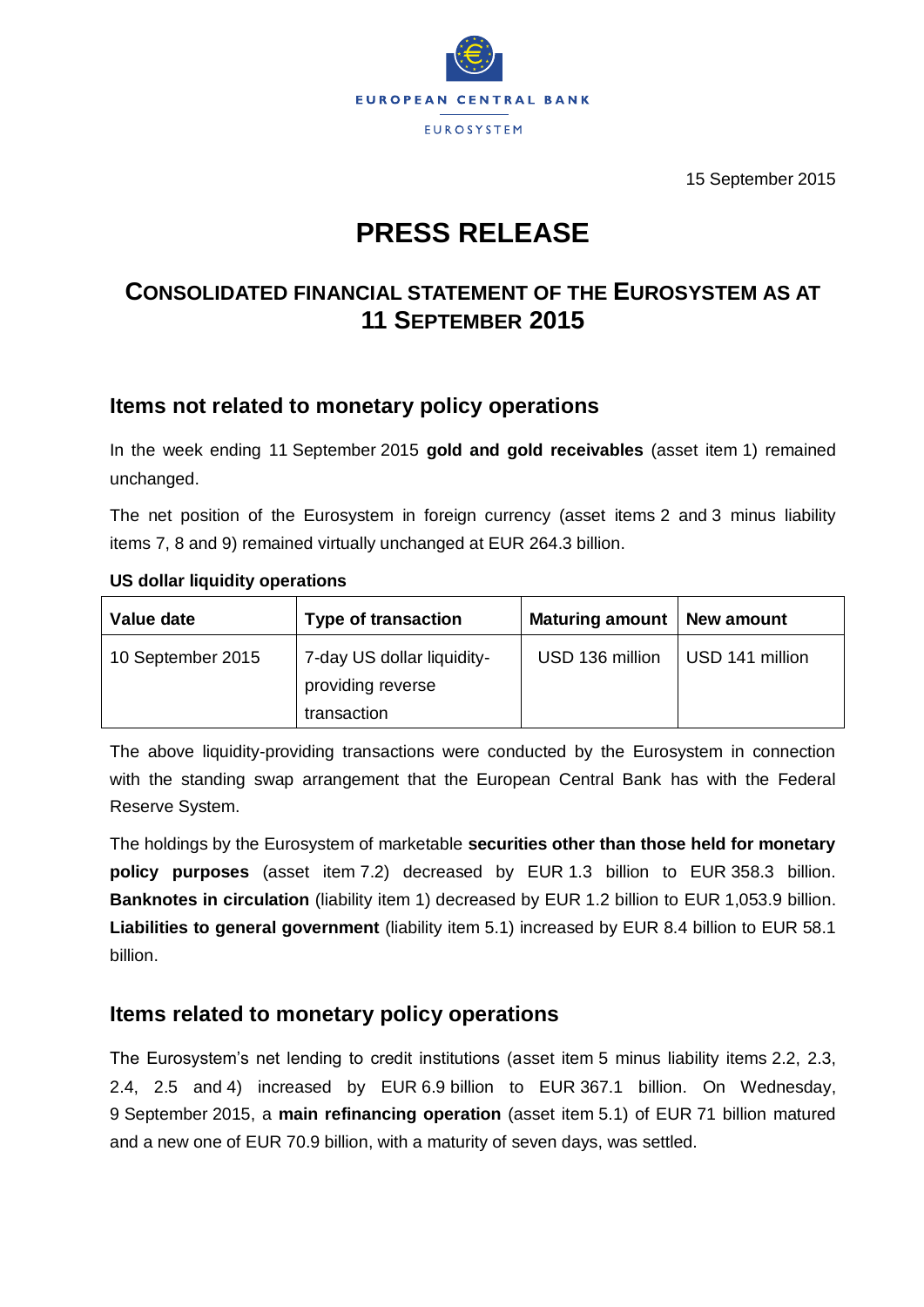

15 September 2015

# **PRESS RELEASE**

# **CONSOLIDATED FINANCIAL STATEMENT OF THE EUROSYSTEM AS AT 11 SEPTEMBER 2015**

# **Items not related to monetary policy operations**

In the week ending 11 September 2015 **gold and gold receivables** (asset item 1) remained unchanged.

The net position of the Eurosystem in foreign currency (asset items 2 and 3 minus liability items 7, 8 and 9) remained virtually unchanged at EUR 264.3 billion.

#### **US dollar liquidity operations**

| Value date        | <b>Type of transaction</b>                                     | <b>Maturing amount</b> | New amount      |
|-------------------|----------------------------------------------------------------|------------------------|-----------------|
| 10 September 2015 | 7-day US dollar liquidity-<br>providing reverse<br>transaction | USD 136 million        | USD 141 million |

The above liquidity-providing transactions were conducted by the Eurosystem in connection with the standing swap arrangement that the European Central Bank has with the Federal Reserve System.

The holdings by the Eurosystem of marketable **securities other than those held for monetary policy purposes** (asset item 7.2) decreased by EUR 1.3 billion to EUR 358.3 billion. **Banknotes in circulation** (liability item 1) decreased by EUR 1.2 billion to EUR 1,053.9 billion. **Liabilities to general government** (liability item 5.1) increased by EUR 8.4 billion to EUR 58.1 billion.

### **Items related to monetary policy operations**

The Eurosystem's net lending to credit institutions (asset item 5 minus liability items 2.2, 2.3, 2.4, 2.5 and 4) increased by EUR 6.9 billion to EUR 367.1 billion. On Wednesday, 9 September 2015, a **main refinancing operation** (asset item 5.1) of EUR 71 billion matured and a new one of EUR 70.9 billion, with a maturity of seven days, was settled.